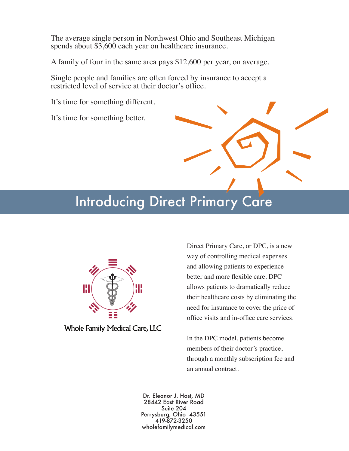The average single person in Northwest Ohio and Southeast Michigan spends about \$3,600 each year on healthcare insurance.

A family of four in the same area pays \$12,600 per year, on average.

Single people and families are often forced by insurance to accept a restricted level of service at their doctor's office.

It's time for something different.

It's time for something better.

# Introducing Direct Primary Care



**Whole Family Medical Care, LLC** 

Direct Primary Care, or DPC, is a new way of controlling medical expenses and allowing patients to experience better and more flexible care. DPC allows patients to dramatically reduce their healthcare costs by eliminating the need for insurance to cover the price of office visits and in-office care services.

In the DPC model, patients become members of their doctor's practice, through a monthly subscription fee and an annual contract.

Dr. Eleanor J. Host, MD 28442 East River Road Suite 204 Perrysburg, Ohio 43551 419-872-3250 wholefamilymedical.com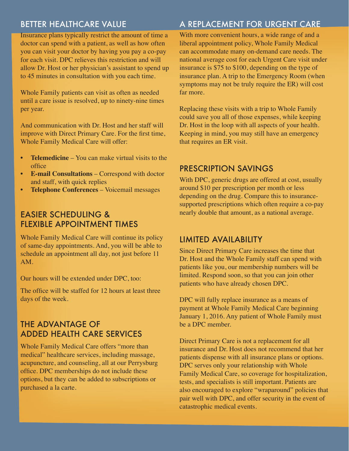### BETTER HEALTHCARE VALUE

Insurance plans typically restrict the amount of time a doctor can spend with a patient, as well as how often you can visit your doctor by having you pay a co-pay for each visit. DPC relieves this restriction and will allow Dr. Host or her physician's assistant to spend up to 45 minutes in consultation with you each time.

Whole Family patients can visit as often as needed until a care issue is resolved, up to ninety-nine times per year.

And communication with Dr. Host and her staff will improve with Direct Primary Care. For the first time, Whole Family Medical Care will offer:

- **• Telemedicine** You can make virtual visits to the office
- **• E-mail Consultations** Correspond with doctor and staff, with quick replies
- **• Telephone Conferences** Voicemail messages

## EASIER SCHEDULING & FLEXIBLE APPOINTMENT TIMES

Whole Family Medical Care will continue its policy of same-day appointments. And, you will be able to schedule an appointment all day, not just before 11 AM.

Our hours will be extended under DPC, too:

The office will be staffed for 12 hours at least three days of the week.

## THE ADVANTAGE OF ADDED HEALTH CARE SERVICES

Whole Family Medical Care offers "more than medical" healthcare services, including massage, acupuncture, and counseling, all at our Perrysburg office. DPC memberships do not include these options, but they can be added to subscriptions or purchased a la carte.

## A REPLACEMENT FOR URGENT CARE

With more convenient hours, a wide range of and a liberal appointment policy, Whole Family Medical can accommodate many on-demand care needs. The national average cost for each Urgent Care visit under insurance is \$75 to \$100, depending on the type of insurance plan. A trip to the Emergency Room (when symptoms may not be truly require the ER) will cost far more.

Replacing these visits with a trip to Whole Family could save you all of those expenses, while keeping Dr. Host in the loop with all aspects of your health. Keeping in mind, you may still have an emergency that requires an ER visit.

## PRESCRIPTION SAVINGS

With DPC, generic drugs are offered at cost, usually around \$10 per prescription per month or less depending on the drug. Compare this to insurancesupported prescriptions which often require a co-pay nearly double that amount, as a national average.

#### LIMITED AVAILABILITY

Since Direct Primary Care increases the time that Dr. Host and the Whole Family staff can spend with patients like you, our membership numbers will be limited. Respond soon, so that you can join other patients who have already chosen DPC.

DPC will fully replace insurance as a means of payment at Whole Family Medical Care beginning January 1, 2016. Any patient of Whole Family must be a DPC member.

Direct Primary Care is not a replacement for all insurance and Dr. Host does not recommend that her patients dispense with all insurance plans or options. DPC serves only your relationship with Whole Family Medical Care, so coverage for hospitalization, tests, and specialists is still important. Patients are also encouraged to explore "wraparound" policies that pair well with DPC, and offer security in the event of catastrophic medical events.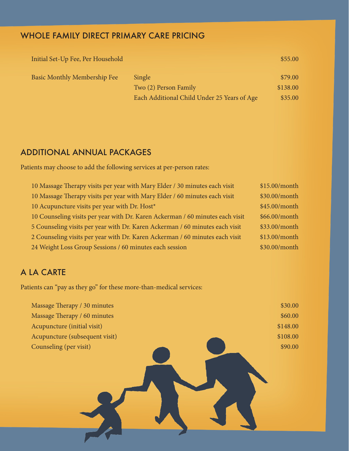## WHOLE FAMILY DIRECT PRIMARY CARE PRICING

| Initial Set-Up Fee, Per Household   |                                             | \$55.00  |
|-------------------------------------|---------------------------------------------|----------|
| <b>Basic Monthly Membership Fee</b> | Single                                      | \$79.00  |
|                                     | Two (2) Person Family                       | \$138.00 |
|                                     | Each Additional Child Under 25 Years of Age | \$35.00  |

## ADDITIONAL ANNUAL PACKAGES

Patients may choose to add the following services at per-person rates:

| 10 Massage Therapy visits per year with Mary Elder / 30 minutes each visit    | \$15.00/month |
|-------------------------------------------------------------------------------|---------------|
| 10 Massage Therapy visits per year with Mary Elder / 60 minutes each visit    | \$30.00/month |
| 10 Acupuncture visits per year with Dr. Host*                                 | \$45.00/month |
| 10 Counseling visits per year with Dr. Karen Ackerman / 60 minutes each visit | \$66.00/month |
| 5 Counseling visits per year with Dr. Karen Ackerman / 60 minutes each visit  | \$33.00/month |
| 2 Counseling visits per year with Dr. Karen Ackerman / 60 minutes each visit  | \$13.00/month |
| 24 Weight Loss Group Sessions / 60 minutes each session                       | \$30.00/month |

## A LA CARTE

Patients can "pay as they go" for these more-than-medical services:

| Massage Therapy / 30 minutes   | \$30.00  |
|--------------------------------|----------|
| Massage Therapy / 60 minutes   | \$60.00  |
| Acupuncture (initial visit)    | \$148.00 |
| Acupuncture (subsequent visit) | \$108.00 |
| Counseling (per visit)         | \$90.00  |
|                                |          |
|                                |          |
|                                |          |
|                                |          |
|                                |          |
|                                |          |
|                                |          |
|                                |          |